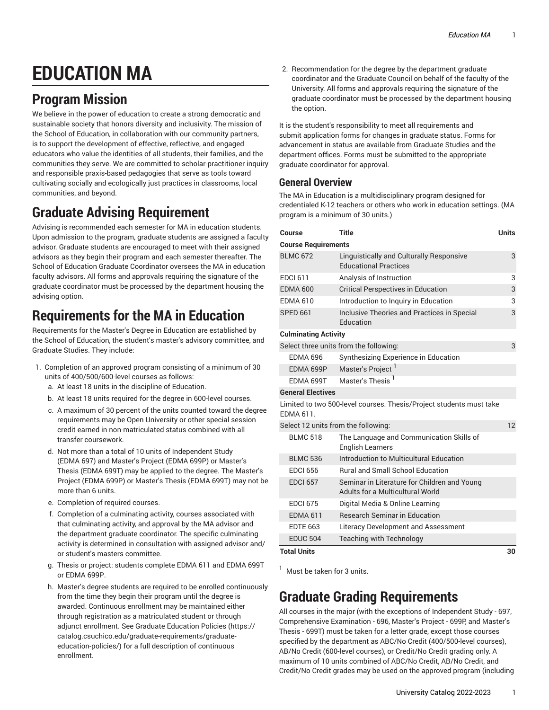# **EDUCATION MA**

# **Program Mission**

We believe in the power of education to create a strong democratic and sustainable society that honors diversity and inclusivity. The mission of the School of Education, in collaboration with our community partners, is to support the development of effective, reflective, and engaged educators who value the identities of all students, their families, and the communities they serve. We are committed to scholar-practitioner inquiry and responsible praxis-based pedagogies that serve as tools toward cultivating socially and ecologically just practices in classrooms, local communities, and beyond.

# **Graduate Advising Requirement**

Advising is recommended each semester for MA in education students. Upon admission to the program, graduate students are assigned a faculty advisor. Graduate students are encouraged to meet with their assigned advisors as they begin their program and each semester thereafter. The School of Education Graduate Coordinator oversees the MA in education faculty advisors. All forms and approvals requiring the signature of the graduate coordinator must be processed by the department housing the advising option.

# **Requirements for the MA in Education**

Requirements for the Master's Degree in Education are established by the School of Education, the student's master's advisory committee, and Graduate Studies. They include:

- 1. Completion of an approved program consisting of a minimum of 30 units of 400/500/600-level courses as follows:
	- a. At least 18 units in the discipline of Education.
	- b. At least 18 units required for the degree in 600-level courses.
	- c. A maximum of 30 percent of the units counted toward the degree requirements may be Open University or other special session credit earned in non-matriculated status combined with all transfer coursework.
	- d. Not more than a total of 10 units of Independent Study (EDMA 697) and Master's Project (EDMA 699P) or Master's Thesis (EDMA 699T) may be applied to the degree. The Master's Project (EDMA 699P) or Master's Thesis (EDMA 699T) may not be more than 6 units.
	- e. Completion of required courses.
	- f. Completion of a culminating activity, courses associated with that culminating activity, and approval by the MA advisor and the department graduate coordinator. The specific culminating activity is determined in consultation with assigned advisor and/ or student's masters committee.
	- g. Thesis or project: students complete EDMA 611 and EDMA 699T or EDMA 699P.
	- h. Master's degree students are required to be enrolled continuously from the time they begin their program until the degree is awarded. Continuous enrollment may be maintained either through registration as a matriculated student or through adjunct enrollment. See Graduate [Education](https://catalog.csuchico.edu/graduate-requirements/graduate-education-policies/) Policies [\(https://](https://catalog.csuchico.edu/graduate-requirements/graduate-education-policies/) [catalog.csuchico.edu/graduate-requirements/graduate](https://catalog.csuchico.edu/graduate-requirements/graduate-education-policies/)[education-policies/](https://catalog.csuchico.edu/graduate-requirements/graduate-education-policies/)) for a full description of continuous enrollment.

2. Recommendation for the degree by the department graduate coordinator and the Graduate Council on behalf of the faculty of the University. All forms and approvals requiring the signature of the graduate coordinator must be processed by the department housing the option.

It is the student's responsibility to meet all requirements and submit application forms for changes in graduate status. Forms for advancement in status are available from Graduate Studies and the department offices. Forms must be submitted to the appropriate graduate coordinator for approval.

#### **General Overview**

The MA in Education is a multidisciplinary program designed for credentialed K-12 teachers or others who work in education settings. (MA program is a minimum of 30 units.)

| Course                                                                                  | <b>Title</b>                                                                            | <b>Units</b> |
|-----------------------------------------------------------------------------------------|-----------------------------------------------------------------------------------------|--------------|
| <b>Course Requirements</b>                                                              |                                                                                         |              |
| <b>BLMC 672</b>                                                                         | Linguistically and Culturally Responsive<br><b>Educational Practices</b>                | 3            |
| <b>EDCI 611</b>                                                                         | Analysis of Instruction                                                                 | 3            |
| <b>EDMA 600</b>                                                                         | <b>Critical Perspectives in Education</b>                                               | 3            |
| <b>FDMA 610</b>                                                                         | Introduction to Inquiry in Education                                                    | 3            |
| <b>SPED 661</b>                                                                         | Inclusive Theories and Practices in Special<br>Education                                | 3            |
| <b>Culminating Activity</b>                                                             |                                                                                         |              |
|                                                                                         | Select three units from the following:                                                  | 3            |
| <b>EDMA 696</b>                                                                         | Synthesizing Experience in Education                                                    |              |
| EDMA 699P                                                                               | Master's Project <sup>1</sup>                                                           |              |
| EDMA 699T                                                                               | Master's Thesis <sup>1</sup>                                                            |              |
| <b>General Electives</b>                                                                |                                                                                         |              |
| Limited to two 500-level courses. Thesis/Project students must take<br><b>FDMA 611.</b> |                                                                                         |              |
| Select 12 units from the following:                                                     |                                                                                         | 12           |
| <b>BLMC 518</b>                                                                         | The Language and Communication Skills of<br><b>English Learners</b>                     |              |
| <b>BLMC 536</b>                                                                         | Introduction to Multicultural Education                                                 |              |
| <b>EDCI 656</b>                                                                         | <b>Rural and Small School Education</b>                                                 |              |
| <b>EDCI 657</b>                                                                         | Seminar in Literature for Children and Young<br><b>Adults for a Multicultural World</b> |              |
| <b>EDCI 675</b>                                                                         | Digital Media & Online Learning                                                         |              |
| <b>EDMA 611</b>                                                                         | <b>Research Seminar in Education</b>                                                    |              |
| <b>EDTE 663</b>                                                                         | Literacy Development and Assessment                                                     |              |
| <b>EDUC 504</b>                                                                         | <b>Teaching with Technology</b>                                                         |              |
| <b>Total Units</b><br>30                                                                |                                                                                         |              |

 $<sup>1</sup>$  Must be taken for 3 units.</sup>

# **Graduate Grading Requirements**

All courses in the major (with the exceptions of Independent Study - 697, Comprehensive Examination - 696, Master's Project - 699P, and Master's Thesis - 699T) must be taken for a letter grade, except those courses specified by the department as ABC/No Credit (400/500-level courses), AB/No Credit (600-level courses), or Credit/No Credit grading only. A maximum of 10 units combined of ABC/No Credit, AB/No Credit, and Credit/No Credit grades may be used on the approved program (including